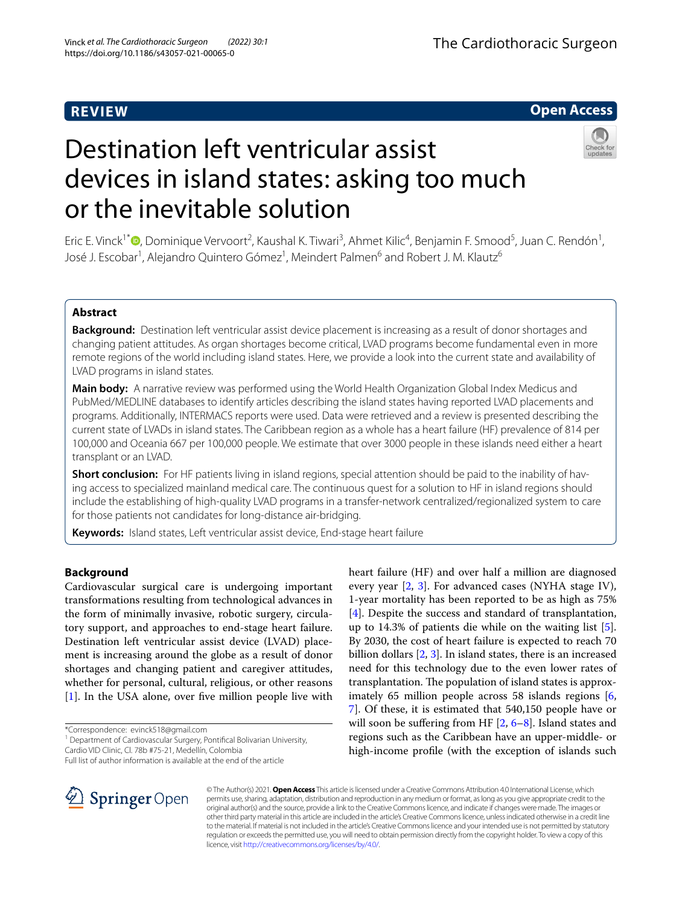# **REVIEW**

# **Open Access**



# Destination left ventricular assist devices in island states: asking too much or the inevitable solution

Eric E. Vinck<sup>1\*</sup>®[,](http://orcid.org/0000-0002-9728-3910) Dominique Vervoort<sup>2</sup>, Kaushal K. Tiwari<sup>3</sup>, Ahmet Kilic<sup>4</sup>, Benjamin F. Smood<sup>5</sup>, Juan C. Rendón<sup>1</sup>, José J. Escobar<sup>1</sup>, Alejandro Quintero Gómez<sup>1</sup>, Meindert Palmen<sup>6</sup> and Robert J. M. Klautz<sup>6</sup>

# **Abstract**

**Background:** Destination left ventricular assist device placement is increasing as a result of donor shortages and changing patient attitudes. As organ shortages become critical, LVAD programs become fundamental even in more remote regions of the world including island states. Here, we provide a look into the current state and availability of LVAD programs in island states.

**Main body:** A narrative review was performed using the World Health Organization Global Index Medicus and PubMed/MEDLINE databases to identify articles describing the island states having reported LVAD placements and programs. Additionally, INTERMACS reports were used. Data were retrieved and a review is presented describing the current state of LVADs in island states. The Caribbean region as a whole has a heart failure (HF) prevalence of 814 per 100,000 and Oceania 667 per 100,000 people. We estimate that over 3000 people in these islands need either a heart transplant or an LVAD.

**Short conclusion:** For HF patients living in island regions, special attention should be paid to the inability of having access to specialized mainland medical care. The continuous quest for a solution to HF in island regions should include the establishing of high-quality LVAD programs in a transfer-network centralized/regionalized system to care for those patients not candidates for long-distance air-bridging.

**Keywords:** Island states, Left ventricular assist device, End-stage heart failure

## **Background**

Cardiovascular surgical care is undergoing important transformations resulting from technological advances in the form of minimally invasive, robotic surgery, circulatory support, and approaches to end-stage heart failure. Destination left ventricular assist device (LVAD) placement is increasing around the globe as a result of donor shortages and changing patient and caregiver attitudes, whether for personal, cultural, religious, or other reasons [[1\]](#page-4-0). In the USA alone, over five million people live with

\*Correspondence: evinck518@gmail.com

<sup>1</sup> Department of Cardiovascular Surgery, Pontifical Bolivarian University, Cardio VID Clinic, Cl. 78b #75-21, Medellín, Colombia

Full list of author information is available at the end of the article

heart failure (HF) and over half a million are diagnosed every year [\[2](#page-4-1), [3\]](#page-4-2). For advanced cases (NYHA stage IV), 1-year mortality has been reported to be as high as 75% [[4\]](#page-4-3). Despite the success and standard of transplantation, up to 14.3% of patients die while on the waiting list [\[5](#page-4-4)]. By 2030, the cost of heart failure is expected to reach 70 billion dollars [[2](#page-4-1), [3](#page-4-2)]. In island states, there is an increased need for this technology due to the even lower rates of transplantation. The population of island states is approx-imately 65 million people across 58 islands regions [\[6](#page-4-5), [7\]](#page-4-6). Of these, it is estimated that 540,150 people have or will soon be suffering from HF  $[2, 6-8]$  $[2, 6-8]$  $[2, 6-8]$  $[2, 6-8]$ . Island states and regions such as the Caribbean have an upper-middle- or high-income profle (with the exception of islands such



© The Author(s) 2021. **Open Access** This article is licensed under a Creative Commons Attribution 4.0 International License, which permits use, sharing, adaptation, distribution and reproduction in any medium or format, as long as you give appropriate credit to the original author(s) and the source, provide a link to the Creative Commons licence, and indicate if changes were made. The images or other third party material in this article are included in the article's Creative Commons licence, unless indicated otherwise in a credit line to the material. If material is not included in the article's Creative Commons licence and your intended use is not permitted by statutory regulation or exceeds the permitted use, you will need to obtain permission directly from the copyright holder. To view a copy of this licence, visit [http://creativecommons.org/licenses/by/4.0/.](http://creativecommons.org/licenses/by/4.0/)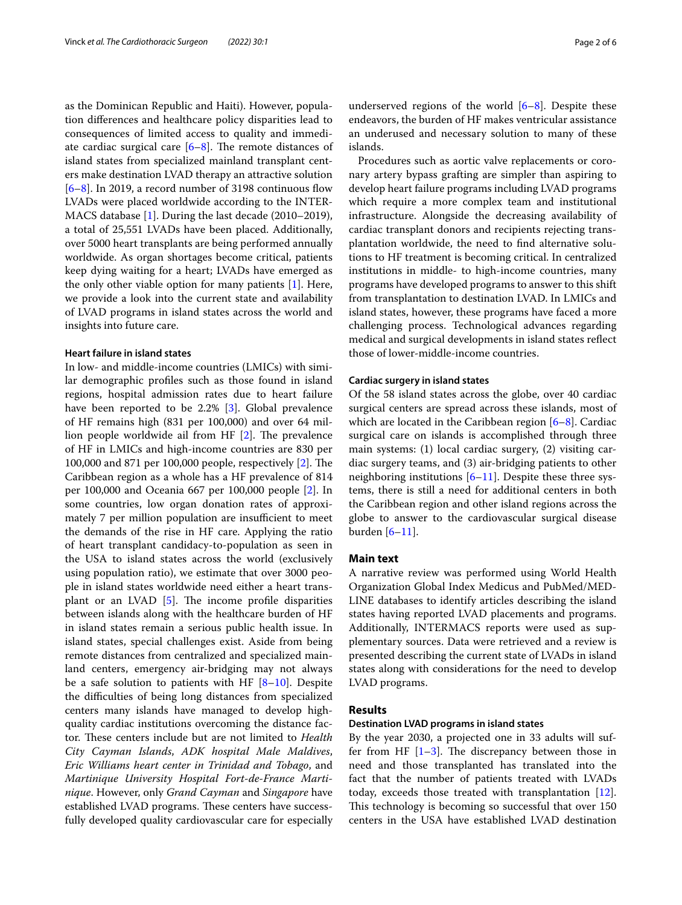as the Dominican Republic and Haiti). However, population diferences and healthcare policy disparities lead to consequences of limited access to quality and immediate cardiac surgical care  $[6-8]$  $[6-8]$  $[6-8]$ . The remote distances of island states from specialized mainland transplant centers make destination LVAD therapy an attractive solution  $[6–8]$  $[6–8]$  $[6–8]$ . In 2019, a record number of 3198 continuous flow LVADs were placed worldwide according to the INTER-MACS database [[1](#page-4-0)]. During the last decade (2010–2019), a total of 25,551 LVADs have been placed. Additionally, over 5000 heart transplants are being performed annually worldwide. As organ shortages become critical, patients keep dying waiting for a heart; LVADs have emerged as the only other viable option for many patients [[1\]](#page-4-0). Here, we provide a look into the current state and availability of LVAD programs in island states across the world and insights into future care.

#### **Heart failure in island states**

In low- and middle-income countries (LMICs) with similar demographic profles such as those found in island regions, hospital admission rates due to heart failure have been reported to be 2.2% [[3](#page-4-2)]. Global prevalence of HF remains high (831 per 100,000) and over 64 million people worldwide ail from HF  $[2]$  $[2]$ . The prevalence of HF in LMICs and high-income countries are 830 per 100,000 and 871 per 100,000 people, respectively  $[2]$  $[2]$ . The Caribbean region as a whole has a HF prevalence of 814 per 100,000 and Oceania 667 per 100,000 people [\[2](#page-4-1)]. In some countries, low organ donation rates of approximately 7 per million population are insufficient to meet the demands of the rise in HF care. Applying the ratio of heart transplant candidacy-to-population as seen in the USA to island states across the world (exclusively using population ratio), we estimate that over 3000 people in island states worldwide need either a heart transplant or an LVAD  $[5]$  $[5]$ . The income profile disparities between islands along with the healthcare burden of HF in island states remain a serious public health issue. In island states, special challenges exist. Aside from being remote distances from centralized and specialized mainland centers, emergency air-bridging may not always be a safe solution to patients with HF  $[8-10]$  $[8-10]$ . Despite the difculties of being long distances from specialized centers many islands have managed to develop highquality cardiac institutions overcoming the distance factor. These centers include but are not limited to *Health City Cayman Islands*, *ADK hospital Male Maldives*, *Eric Williams heart center in Trinidad and Tobago*, and *Martinique University Hospital Fort-de-France Martinique*. However, only *Grand Cayman* and *Singapore* have established LVAD programs. These centers have successfully developed quality cardiovascular care for especially underserved regions of the world  $[6-8]$  $[6-8]$ . Despite these endeavors, the burden of HF makes ventricular assistance an underused and necessary solution to many of these islands.

Procedures such as aortic valve replacements or coronary artery bypass grafting are simpler than aspiring to develop heart failure programs including LVAD programs which require a more complex team and institutional infrastructure. Alongside the decreasing availability of cardiac transplant donors and recipients rejecting transplantation worldwide, the need to fnd alternative solutions to HF treatment is becoming critical. In centralized institutions in middle- to high-income countries, many programs have developed programs to answer to this shift from transplantation to destination LVAD. In LMICs and island states, however, these programs have faced a more challenging process. Technological advances regarding medical and surgical developments in island states refect those of lower-middle-income countries.

## **Cardiac surgery in island states**

Of the 58 island states across the globe, over 40 cardiac surgical centers are spread across these islands, most of which are located in the Caribbean region [[6–](#page-4-5)[8\]](#page-4-7). Cardiac surgical care on islands is accomplished through three main systems: (1) local cardiac surgery, (2) visiting cardiac surgery teams, and (3) air-bridging patients to other neighboring institutions  $[6-11]$  $[6-11]$ . Despite these three systems, there is still a need for additional centers in both the Caribbean region and other island regions across the globe to answer to the cardiovascular surgical disease burden  $[6-11]$  $[6-11]$  $[6-11]$ .

## **Main text**

A narrative review was performed using World Health Organization Global Index Medicus and PubMed/MED-LINE databases to identify articles describing the island states having reported LVAD placements and programs. Additionally, INTERMACS reports were used as supplementary sources. Data were retrieved and a review is presented describing the current state of LVADs in island states along with considerations for the need to develop LVAD programs.

## **Results**

#### **Destination LVAD programs in island states**

By the year 2030, a projected one in 33 adults will suffer from HF  $[1-3]$  $[1-3]$  $[1-3]$ . The discrepancy between those in need and those transplanted has translated into the fact that the number of patients treated with LVADs today, exceeds those treated with transplantation [\[12](#page-5-2)]. This technology is becoming so successful that over 150 centers in the USA have established LVAD destination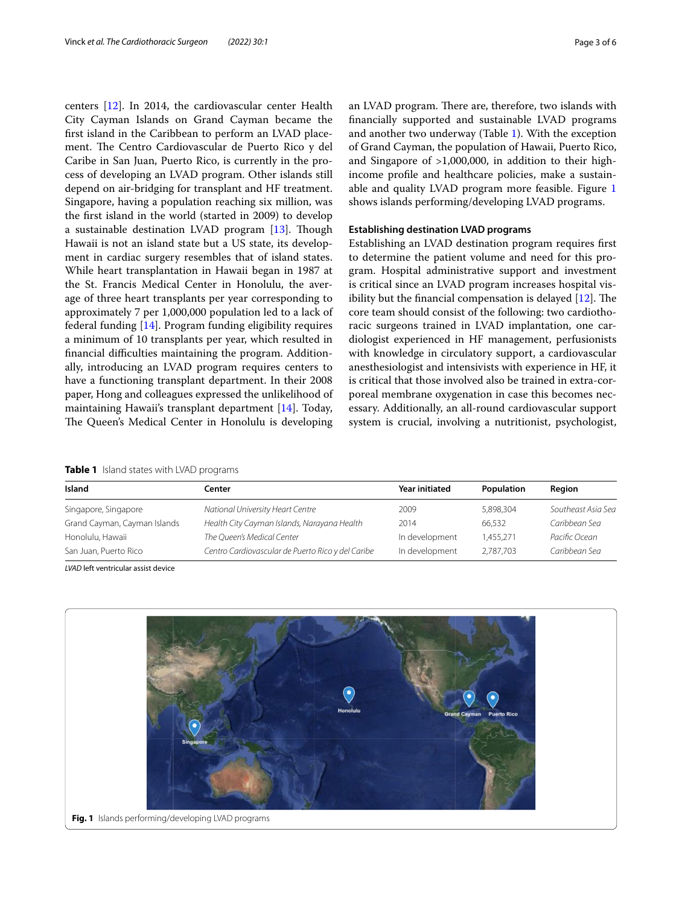centers [[12](#page-5-2)]. In 2014, the cardiovascular center Health City Cayman Islands on Grand Cayman became the frst island in the Caribbean to perform an LVAD placement. The Centro Cardiovascular de Puerto Rico y del Caribe in San Juan, Puerto Rico, is currently in the process of developing an LVAD program. Other islands still depend on air-bridging for transplant and HF treatment. Singapore, having a population reaching six million, was the frst island in the world (started in 2009) to develop a sustainable destination LVAD program  $[13]$ . Though Hawaii is not an island state but a US state, its development in cardiac surgery resembles that of island states. While heart transplantation in Hawaii began in 1987 at the St. Francis Medical Center in Honolulu, the average of three heart transplants per year corresponding to approximately 7 per 1,000,000 population led to a lack of federal funding [\[14](#page-5-4)]. Program funding eligibility requires a minimum of 10 transplants per year, which resulted in fnancial difculties maintaining the program. Additionally, introducing an LVAD program requires centers to have a functioning transplant department. In their 2008 paper, Hong and colleagues expressed the unlikelihood of maintaining Hawaii's transplant department [\[14](#page-5-4)]. Today, The Queen's Medical Center in Honolulu is developing an LVAD program. There are, therefore, two islands with fnancially supported and sustainable LVAD programs and another two underway (Table [1\)](#page-2-0). With the exception of Grand Cayman, the population of Hawaii, Puerto Rico, and Singapore of >1,000,000, in addition to their highincome profle and healthcare policies, make a sustainable and quality LVAD program more feasible. Figure [1](#page-2-1) shows islands performing/developing LVAD programs.

## **Establishing destination LVAD programs**

Establishing an LVAD destination program requires frst to determine the patient volume and need for this program. Hospital administrative support and investment is critical since an LVAD program increases hospital visibility but the financial compensation is delayed  $[12]$  $[12]$ . The core team should consist of the following: two cardiothoracic surgeons trained in LVAD implantation, one cardiologist experienced in HF management, perfusionists with knowledge in circulatory support, a cardiovascular anesthesiologist and intensivists with experience in HF, it is critical that those involved also be trained in extra-corporeal membrane oxygenation in case this becomes necessary. Additionally, an all-round cardiovascular support system is crucial, involving a nutritionist, psychologist,

<span id="page-2-0"></span>**Table 1** Island states with LVAD programs

| Island                       | Center                                            | <b>Year initiated</b> | Population | Reaion             |
|------------------------------|---------------------------------------------------|-----------------------|------------|--------------------|
| Singapore, Singapore         | National University Heart Centre                  | 2009                  | 5,898,304  | Southeast Asia Sea |
| Grand Cayman, Cayman Islands | Health City Cayman Islands, Narayana Health       | 2014                  | 66.532     | Caribbean Sea      |
| Honolulu, Hawaii             | The Oueen's Medical Center                        | In development        | 1.455.271  | Pacific Ocean      |
| San Juan, Puerto Rico        | Centro Cardiovascular de Puerto Rico y del Caribe | In development        | 2.787.703  | Caribbean Sea      |

*LVAD* left ventricular assist device

<span id="page-2-1"></span>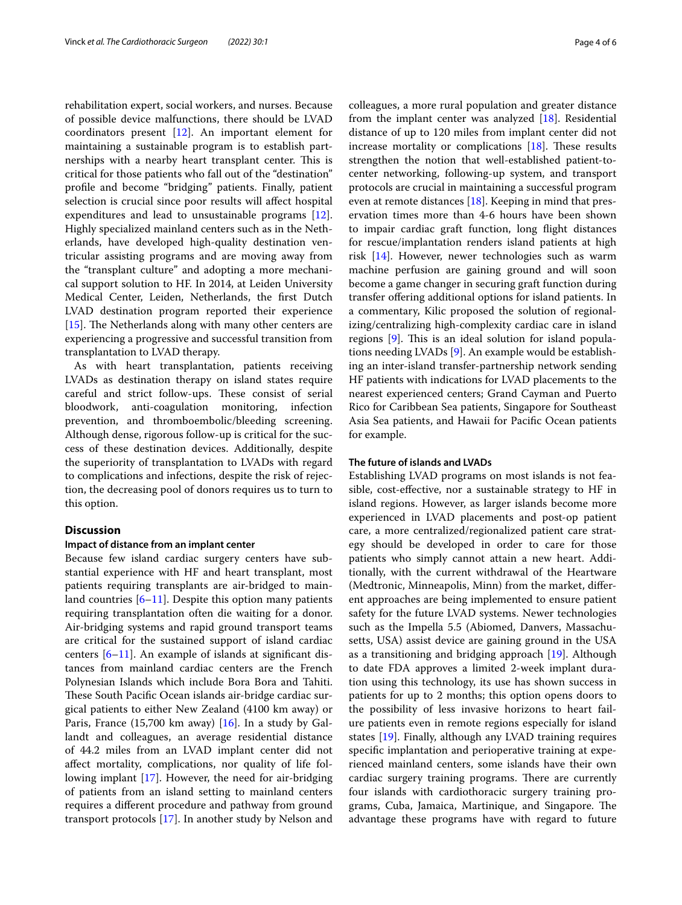rehabilitation expert, social workers, and nurses. Because of possible device malfunctions, there should be LVAD coordinators present [[12\]](#page-5-2). An important element for maintaining a sustainable program is to establish partnerships with a nearby heart transplant center. This is critical for those patients who fall out of the "destination" profle and become "bridging" patients. Finally, patient selection is crucial since poor results will afect hospital expenditures and lead to unsustainable programs [\[12](#page-5-2)]. Highly specialized mainland centers such as in the Netherlands, have developed high-quality destination ventricular assisting programs and are moving away from the "transplant culture" and adopting a more mechanical support solution to HF. In 2014, at Leiden University Medical Center, Leiden, Netherlands, the frst Dutch LVAD destination program reported their experience [ $15$ ]. The Netherlands along with many other centers are experiencing a progressive and successful transition from transplantation to LVAD therapy.

As with heart transplantation, patients receiving LVADs as destination therapy on island states require careful and strict follow-ups. These consist of serial bloodwork, anti-coagulation monitoring, infection prevention, and thromboembolic/bleeding screening. Although dense, rigorous follow-up is critical for the success of these destination devices. Additionally, despite the superiority of transplantation to LVADs with regard to complications and infections, despite the risk of rejection, the decreasing pool of donors requires us to turn to this option.

## **Discussion**

#### **Impact of distance from an implant center**

Because few island cardiac surgery centers have substantial experience with HF and heart transplant, most patients requiring transplants are air-bridged to mainland countries [[6–](#page-4-5)[11](#page-5-1)]. Despite this option many patients requiring transplantation often die waiting for a donor. Air-bridging systems and rapid ground transport teams are critical for the sustained support of island cardiac centers [[6–](#page-4-5)[11](#page-5-1)]. An example of islands at signifcant distances from mainland cardiac centers are the French Polynesian Islands which include Bora Bora and Tahiti. These South Pacific Ocean islands air-bridge cardiac surgical patients to either New Zealand (4100 km away) or Paris, France (15,700 km away)  $[16]$  $[16]$  $[16]$ . In a study by Gallandt and colleagues, an average residential distance of 44.2 miles from an LVAD implant center did not afect mortality, complications, nor quality of life following implant [\[17\]](#page-5-7). However, the need for air-bridging of patients from an island setting to mainland centers requires a diferent procedure and pathway from ground transport protocols [\[17](#page-5-7)]. In another study by Nelson and colleagues, a more rural population and greater distance from the implant center was analyzed [\[18](#page-5-8)]. Residential distance of up to 120 miles from implant center did not increase mortality or complications  $[18]$  $[18]$  $[18]$ . These results strengthen the notion that well-established patient-tocenter networking, following-up system, and transport protocols are crucial in maintaining a successful program even at remote distances [[18\]](#page-5-8). Keeping in mind that preservation times more than 4-6 hours have been shown to impair cardiac graft function, long fight distances for rescue/implantation renders island patients at high risk [[14\]](#page-5-4). However, newer technologies such as warm machine perfusion are gaining ground and will soon become a game changer in securing graft function during transfer ofering additional options for island patients. In a commentary, Kilic proposed the solution of regionalizing/centralizing high-complexity cardiac care in island regions  $[9]$  $[9]$ . This is an ideal solution for island populations needing LVADs [\[9](#page-4-8)]. An example would be establishing an inter-island transfer-partnership network sending HF patients with indications for LVAD placements to the nearest experienced centers; Grand Cayman and Puerto Rico for Caribbean Sea patients, Singapore for Southeast Asia Sea patients, and Hawaii for Pacifc Ocean patients for example.

### **The future of islands and LVADs**

Establishing LVAD programs on most islands is not feasible, cost-efective, nor a sustainable strategy to HF in island regions. However, as larger islands become more experienced in LVAD placements and post-op patient care, a more centralized/regionalized patient care strategy should be developed in order to care for those patients who simply cannot attain a new heart. Additionally, with the current withdrawal of the Heartware (Medtronic, Minneapolis, Minn) from the market, diferent approaches are being implemented to ensure patient safety for the future LVAD systems. Newer technologies such as the Impella 5.5 (Abiomed, Danvers, Massachusetts, USA) assist device are gaining ground in the USA as a transitioning and bridging approach [\[19](#page-5-9)]. Although to date FDA approves a limited 2-week implant duration using this technology, its use has shown success in patients for up to 2 months; this option opens doors to the possibility of less invasive horizons to heart failure patients even in remote regions especially for island states [\[19\]](#page-5-9). Finally, although any LVAD training requires specifc implantation and perioperative training at experienced mainland centers, some islands have their own cardiac surgery training programs. There are currently four islands with cardiothoracic surgery training programs, Cuba, Jamaica, Martinique, and Singapore. The advantage these programs have with regard to future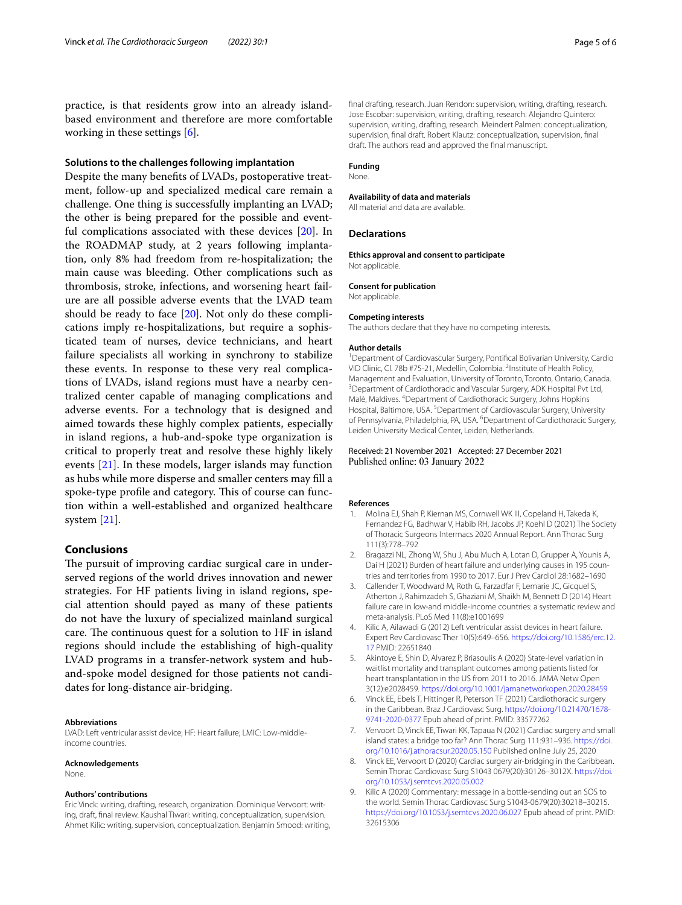practice, is that residents grow into an already islandbased environment and therefore are more comfortable working in these settings [[6\]](#page-4-5).

## **Solutions to the challenges following implantation**

Despite the many benefts of LVADs, postoperative treatment, follow-up and specialized medical care remain a challenge. One thing is successfully implanting an LVAD; the other is being prepared for the possible and eventful complications associated with these devices [[20\]](#page-5-10). In the ROADMAP study, at 2 years following implantation, only 8% had freedom from re-hospitalization; the main cause was bleeding. Other complications such as thrombosis, stroke, infections, and worsening heart failure are all possible adverse events that the LVAD team should be ready to face [\[20](#page-5-10)]. Not only do these complications imply re-hospitalizations, but require a sophisticated team of nurses, device technicians, and heart failure specialists all working in synchrony to stabilize these events. In response to these very real complications of LVADs, island regions must have a nearby centralized center capable of managing complications and adverse events. For a technology that is designed and aimed towards these highly complex patients, especially in island regions, a hub-and-spoke type organization is critical to properly treat and resolve these highly likely events [[21\]](#page-5-11). In these models, larger islands may function as hubs while more disperse and smaller centers may fll a spoke-type profile and category. This of course can function within a well-established and organized healthcare system [\[21](#page-5-11)].

## **Conclusions**

The pursuit of improving cardiac surgical care in underserved regions of the world drives innovation and newer strategies. For HF patients living in island regions, special attention should payed as many of these patients do not have the luxury of specialized mainland surgical care. The continuous quest for a solution to HF in island regions should include the establishing of high-quality LVAD programs in a transfer-network system and huband-spoke model designed for those patients not candidates for long-distance air-bridging.

#### **Abbreviations**

LVAD: Left ventricular assist device; HF: Heart failure; LMIC: Low-middleincome countries.

#### **Acknowledgements**

None.

#### **Authors' contributions**

Eric Vinck: writing, drafting, research, organization. Dominique Vervoort: writing, draft, fnal review. Kaushal Tiwari: writing, conceptualization, supervision. Ahmet Kilic: writing, supervision, conceptualization. Benjamin Smood: writing, fnal drafting, research. Juan Rendon: supervision, writing, drafting, research. Jose Escobar: supervision, writing, drafting, research. Alejandro Quintero: supervision, writing, drafting, research. Meindert Palmen: conceptualization, supervision, fnal draft. Robert Klautz: conceptualization, supervision, fnal draft. The authors read and approved the fnal manuscript.

#### **Funding**

None.

#### **Availability of data and materials**

All material and data are available.

#### **Declarations**

**Ethics approval and consent to participate** Not applicable.

#### **Consent for publication**

Not applicable.

#### **Competing interests**

The authors declare that they have no competing interests.

#### **Author details**

<sup>1</sup> Department of Cardiovascular Surgery, Pontifical Bolivarian University, Cardio VID Clinic, Cl. 78b #75-21, Medellín, Colombia. <sup>2</sup>Institute of Health Policy, Management and Evaluation, University of Toronto, Toronto, Ontario, Canada. 3 <sup>3</sup> Department of Cardiothoracic and Vascular Surgery, ADK Hospital Pvt Ltd, Malè, Maldives. 4 Department of Cardiothoracic Surgery, Johns Hopkins Hospital, Baltimore, USA.<sup>5</sup> Department of Cardiovascular Surgery, University of Pennsylvania, Philadelphia, PA, USA. <sup>6</sup>Department of Cardiothoracic Surgery, Leiden University Medical Center, Leiden, Netherlands.

#### Received: 21 November 2021 Accepted: 27 December 2021 Published online: 03 January 2022

#### **References**

- <span id="page-4-0"></span>1. Molina EJ, Shah P, Kiernan MS, Cornwell WK III, Copeland H, Takeda K, Fernandez FG, Badhwar V, Habib RH, Jacobs JP, Koehl D (2021) The Society of Thoracic Surgeons Intermacs 2020 Annual Report. Ann Thorac Surg 111(3):778–792
- <span id="page-4-1"></span>2. Bragazzi NL, Zhong W, Shu J, Abu Much A, Lotan D, Grupper A, Younis A, Dai H (2021) Burden of heart failure and underlying causes in 195 countries and territories from 1990 to 2017. Eur J Prev Cardiol 28:1682–1690
- <span id="page-4-2"></span>3. Callender T, Woodward M, Roth G, Farzadfar F, Lemarie JC, Gicquel S, Atherton J, Rahimzadeh S, Ghaziani M, Shaikh M, Bennett D (2014) Heart failure care in low-and middle-income countries: a systematic review and meta-analysis. PLoS Med 11(8):e1001699
- <span id="page-4-3"></span>4. Kilic A, Ailawadi G (2012) Left ventricular assist devices in heart failure. Expert Rev Cardiovasc Ther 10(5):649–656. [https://doi.org/10.1586/erc.12.](https://doi.org/10.1586/erc.12.17) [17](https://doi.org/10.1586/erc.12.17) PMID: 22651840
- <span id="page-4-4"></span>5. Akintoye E, Shin D, Alvarez P, Briasoulis A (2020) State-level variation in waitlist mortality and transplant outcomes among patients listed for heart transplantation in the US from 2011 to 2016. JAMA Netw Open 3(12):e2028459.<https://doi.org/10.1001/jamanetworkopen.2020.28459>
- <span id="page-4-5"></span>6. Vinck EE, Ebels T, Hittinger R, Peterson TF (2021) Cardiothoracic surgery in the Caribbean. Braz J Cardiovasc Surg. [https://doi.org/10.21470/1678-](https://doi.org/10.21470/1678-9741-2020-0377) [9741-2020-0377](https://doi.org/10.21470/1678-9741-2020-0377) Epub ahead of print. PMID: 33577262
- <span id="page-4-6"></span>7. Vervoort D, Vinck EE, Tiwari KK, Tapaua N (2021) Cardiac surgery and small island states: a bridge too far? Ann Thorac Surg 111:931–936. [https://doi.](https://doi.org/10.1016/j.athoracsur.2020.05.150) [org/10.1016/j.athoracsur.2020.05.150](https://doi.org/10.1016/j.athoracsur.2020.05.150) Published online July 25, 2020
- <span id="page-4-7"></span>8. Vinck EE, Vervoort D (2020) Cardiac surgery air-bridging in the Caribbean. Semin Thorac Cardiovasc Surg S1043 0679(20):30126–3012X. [https://doi.](https://doi.org/10.1053/j.semtcvs.2020.05.002) [org/10.1053/j.semtcvs.2020.05.002](https://doi.org/10.1053/j.semtcvs.2020.05.002)
- <span id="page-4-8"></span>9. Kilic A (2020) Commentary: message in a bottle-sending out an SOS to the world. Semin Thorac Cardiovasc Surg S1043-0679(20):30218–30215. <https://doi.org/10.1053/j.semtcvs.2020.06.027>Epub ahead of print. PMID: 32615306